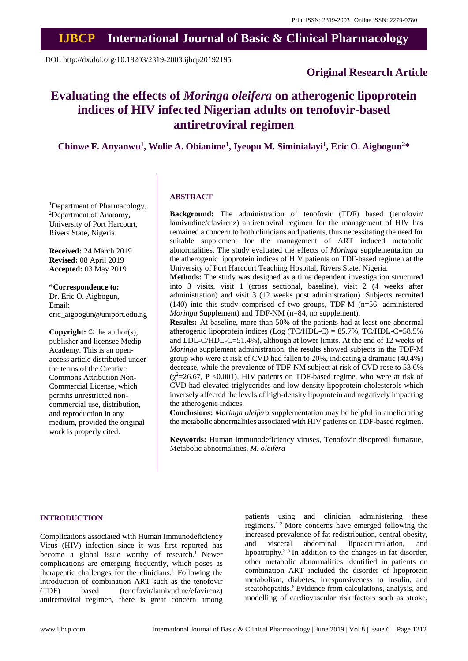## **IJBCP International Journal of Basic & Clinical Pharmacology**

DOI: http://dx.doi.org/10.18203/2319-2003.ijbcp20192195

## **Original Research Article**

# **Evaluating the effects of** *Moringa oleifera* **on atherogenic lipoprotein indices of HIV infected Nigerian adults on tenofovir-based antiretroviral regimen**

**Chinwe F. Anyanwu<sup>1</sup> , Wolie A. Obianime<sup>1</sup> , Iyeopu M. Siminialayi<sup>1</sup> , Eric O. Aigbogun<sup>2</sup>\***

<sup>1</sup>Department of Pharmacology, <sup>2</sup>Department of Anatomy, University of Port Harcourt, Rivers State, Nigeria

**Received:** 24 March 2019 **Revised:** 08 April 2019 **Accepted:** 03 May 2019

**\*Correspondence to:** Dr. Eric O. Aigbogun, Email: eric\_aigbogun@uniport.edu.ng

**Copyright:** © the author(s), publisher and licensee Medip Academy. This is an openaccess article distributed under the terms of the Creative Commons Attribution Non-Commercial License, which permits unrestricted noncommercial use, distribution, and reproduction in any medium, provided the original work is properly cited.

## **ABSTRACT**

**Background:** The administration of tenofovir (TDF) based (tenofovir/ lamivudine/efavirenz) antiretroviral regimen for the management of HIV has remained a concern to both clinicians and patients, thus necessitating the need for suitable supplement for the management of ART induced metabolic abnormalities. The study evaluated the effects of *Moringa* supplementation on the atherogenic lipoprotein indices of HIV patients on TDF-based regimen at the University of Port Harcourt Teaching Hospital, Rivers State, Nigeria.

**Methods:** The study was designed as a time dependent investigation structured into 3 visits, visit 1 (cross sectional, baseline), visit 2 (4 weeks after administration) and visit 3 (12 weeks post administration). Subjects recruited (140) into this study comprised of two groups, TDF-M (n=56, administered *Moringa* Supplement) and TDF-NM (n=84, no supplement).

**Results:** At baseline, more than 50% of the patients had at least one abnormal atherogenic lipoprotein indices (Log (TC/HDL-C) =  $85.7\%$ , TC/HDL-C=58.5% and LDL-C/HDL-C=51.4%), although at lower limits. At the end of 12 weeks of *Moringa* supplement administration, the results showed subjects in the TDF-M group who were at risk of CVD had fallen to 20%, indicating a dramatic (40.4%) decrease, while the prevalence of TDF-NM subject at risk of CVD rose to 53.6%  $(\gamma^2=26.67, P < 0.001)$ . HIV patients on TDF-based regime, who were at risk of CVD had elevated triglycerides and low-density lipoprotein cholesterols which inversely affected the levels of high-density lipoprotein and negatively impacting the atherogenic indices.

**Conclusions:** *Moringa oleifera* supplementation may be helpful in ameliorating the metabolic abnormalities associated with HIV patients on TDF-based regimen.

**Keywords:** Human immunodeficiency viruses, Tenofovir disoproxil fumarate, Metabolic abnormalities, *M. oleifera*

#### **INTRODUCTION**

Complications associated with Human Immunodeficiency Virus (HIV) infection since it was first reported has become a global issue worthy of research.<sup>1</sup> Newer complications are emerging frequently, which poses as therapeutic challenges for the clinicians.<sup>1</sup> Following the introduction of combination ART such as the tenofovir (TDF) based (tenofovir/lamivudine/efavirenz) antiretroviral regimen, there is great concern among patients using and clinician administering these regimens.1-3 More concerns have emerged following the increased prevalence of fat redistribution, central obesity, and visceral abdominal lipoaccumulation, and lipoatrophy.3-5 In addition to the changes in fat disorder, other metabolic abnormalities identified in patients on combination ART included the disorder of lipoprotein metabolism, diabetes, irresponsiveness to insulin, and steatohepatitis.<sup>6</sup> Evidence from calculations, analysis, and modelling of cardiovascular risk factors such as stroke,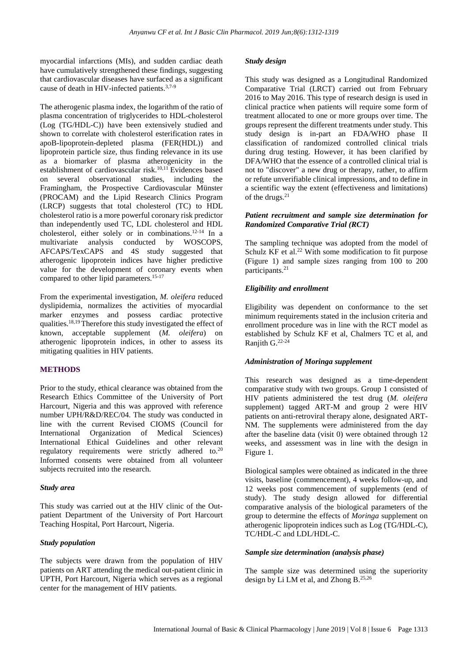myocardial infarctions (MIs), and sudden cardiac death have cumulatively strengthened these findings, suggesting that cardiovascular diseases have surfaced as a significant cause of death in HIV-infected patients.3,7-9

The atherogenic plasma index, the logarithm of the ratio of plasma concentration of triglycerides to HDL-cholesterol (Log (TG/HDL-C)) have been extensively studied and shown to correlate with cholesterol esterification rates in apoB-lipoprotein-depleted plasma (FER(HDL)) and lipoprotein particle size, thus finding relevance in its use as a biomarker of plasma atherogenicity in the establishment of cardiovascular risk.<sup>10,11</sup> Evidences based on several observational studies, including the Framingham, the Prospective Cardiovascular Münster (PROCAM) and the Lipid Research Clinics Program (LRCP) suggests that total cholesterol (TC) to HDL cholesterol ratio is a more powerful coronary risk predictor than independently used TC, LDL cholesterol and HDL cholesterol, either solely or in combinations.12-14 In a multivariate analysis conducted by WOSCOPS, AFCAPS/TexCAPS and 4S study suggested that atherogenic lipoprotein indices have higher predictive value for the development of coronary events when compared to other lipid parameters.<sup>15-17</sup>

From the experimental investigation, *M. oleifera* reduced dyslipidemia, normalizes the activities of myocardial marker enzymes and possess cardiac protective qualities.18,19Therefore this study investigated the effect of known, acceptable supplement (*M. oleifera*) on atherogenic lipoprotein indices, in other to assess its mitigating qualities in HIV patients.

## **METHODS**

Prior to the study, ethical clearance was obtained from the Research Ethics Committee of the University of Port Harcourt, Nigeria and this was approved with reference number UPH/R&D/REC/04. The study was conducted in line with the current Revised CIOMS (Council for International Organization of Medical Sciences) International Ethical Guidelines and other relevant regulatory requirements were strictly adhered to.<sup>20</sup> Informed consents were obtained from all volunteer subjects recruited into the research.

## *Study area*

This study was carried out at the HIV clinic of the Outpatient Department of the University of Port Harcourt Teaching Hospital, Port Harcourt, Nigeria.

## *Study population*

The subjects were drawn from the population of HIV patients on ART attending the medical out-patient clinic in UPTH, Port Harcourt, Nigeria which serves as a regional center for the management of HIV patients.

#### *Study design*

This study was designed as a Longitudinal Randomized Comparative Trial (LRCT) carried out from February 2016 to May 2016. This type of research design is used in clinical practice when patients will require some form of treatment allocated to one or more groups over time. The groups represent the different treatments under study. This study design is in-part an FDA/WHO phase II classification of randomized controlled clinical trials during drug testing. However, it has been clarified by DFA/WHO that the essence of a controlled clinical trial is not to "discover" a new drug or therapy, rather, to affirm or refute unverifiable clinical impressions, and to define in a scientific way the extent (effectiveness and limitations) of the drugs.<sup>21</sup>

#### *Patient recruitment and sample size determination for Randomized Comparative Trial (RCT)*

The sampling technique was adopted from the model of Schulz KF et al.<sup>22</sup> With some modification to fit purpose (Figure 1) and sample sizes ranging from 100 to 200 participants.<sup>21</sup>

## *Eligibility and enrollment*

Eligibility was dependent on conformance to the set minimum requirements stated in the inclusion criteria and enrollment procedure was in line with the RCT model as established by Schulz KF et al, Chalmers TC et al, and Ranjith G.22-24

## *Administration of Moringa supplement*

This research was designed as a time-dependent comparative study with two groups. Group 1 consisted of HIV patients administered the test drug (*M. oleifera* supplement) tagged ART-M and group 2 were HIV patients on anti-retroviral therapy alone, designated ART-NM. The supplements were administered from the day after the baseline data (visit 0) were obtained through 12 weeks, and assessment was in line with the design in Figure 1.

Biological samples were obtained as indicated in the three visits, baseline (commencement), 4 weeks follow-up, and 12 weeks post commencement of supplements (end of study). The study design allowed for differential comparative analysis of the biological parameters of the group to determine the effects of *Moringa* supplement on atherogenic lipoprotein indices such as Log (TG/HDL-C), TC/HDL-C and LDL/HDL-C.

#### *Sample size determination (analysis phase)*

The sample size was determined using the superiority design by Li LM et al, and Zhong B.25,26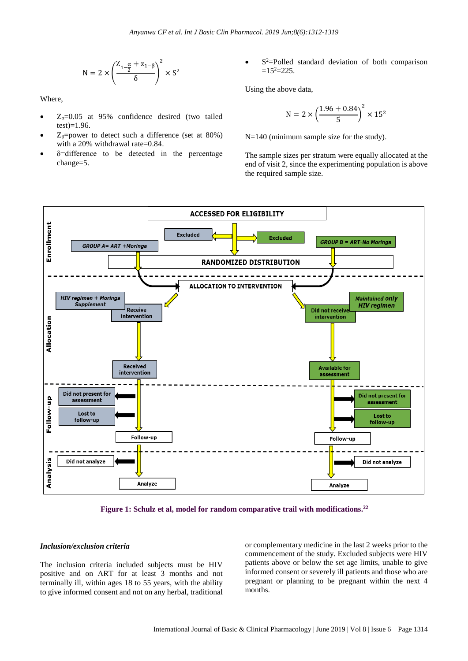$$
N=2\times\left(\frac{Z_{1-\tfrac{\alpha}{2}}+z_{1-\beta}}{\delta}\right)^2\times S^2
$$

Where,

- $Z<sub>α</sub>=0.05$  at 95% confidence desired (two tailed test)=1.96.
- $Z_{\beta}$ =power to detect such a difference (set at 80%) with a 20% withdrawal rate=0.84.
- δ=difference to be detected in the percentage change=5.

• S<sup>2</sup>=Polled standard deviation of both comparison  $=15^{2}$  $=225$ .

Using the above data,

$$
N = 2 \times \left(\frac{1.96 + 0.84}{5}\right)^2 \times 15^2
$$

N=140 (minimum sample size for the study).

The sample sizes per stratum were equally allocated at the end of visit 2, since the experimenting population is above the required sample size.



**Figure 1: Schulz et al, model for random comparative trail with modifications. 22**

#### *Inclusion/exclusion criteria*

The inclusion criteria included subjects must be HIV positive and on ART for at least 3 months and not terminally ill, within ages 18 to 55 years, with the ability to give informed consent and not on any herbal, traditional or complementary medicine in the last 2 weeks prior to the commencement of the study. Excluded subjects were HIV patients above or below the set age limits, unable to give informed consent or severely ill patients and those who are pregnant or planning to be pregnant within the next 4 months.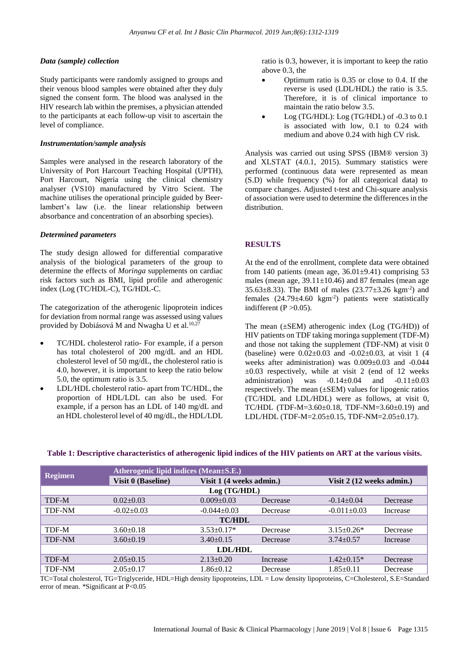### *Data (sample) collection*

Study participants were randomly assigned to groups and their venous blood samples were obtained after they duly signed the consent form. The blood was analysed in the HIV research lab within the premises, a physician attended to the participants at each follow-up visit to ascertain the level of compliance.

#### *Instrumentation/sample analysis*

Samples were analysed in the research laboratory of the University of Port Harcourt Teaching Hospital (UPTH), Port Harcourt, Nigeria using the clinical chemistry analyser (VS10) manufactured by Vitro Scient. The machine utilises the operational principle guided by Beerlambert's law (i.e. the linear relationship between absorbance and concentration of an absorbing species).

## *Determined parameters*

The study design allowed for differential comparative analysis of the biological parameters of the group to determine the effects of *Moringa* supplements on cardiac risk factors such as BMI, lipid profile and atherogenic index (Log (TC/HDL-C), TG/HDL-C.

The categorization of the atherogenic lipoprotein indices for deviation from normal range was assessed using values provided by Dobiásová M and Nwagha U et al.<sup>10,27</sup>

- TC/HDL cholesterol ratio- For example, if a person has total cholesterol of 200 mg/dL and an HDL cholesterol level of 50 mg/dL, the cholesterol ratio is 4.0, however, it is important to keep the ratio below 5.0, the optimum ratio is 3.5.
- LDL/HDL cholesterol ratio- apart from TC/HDL, the proportion of HDL/LDL can also be used. For example, if a person has an LDL of 140 mg/dL and an HDL cholesterol level of 40 mg/dL, the HDL/LDL

ratio is 0.3, however, it is important to keep the ratio above 0.3, the

- Optimum ratio is 0.35 or close to 0.4. If the reverse is used (LDL/HDL) the ratio is 3.5. Therefore, it is of clinical importance to maintain the ratio below 3.5.
- Log (TG/HDL): Log (TG/HDL) of -0.3 to 0.1 is associated with low, 0.1 to 0.24 with medium and above 0.24 with high CV risk.

Analysis was carried out using SPSS (IBM® version 3) and XLSTAT (4.0.1, 2015). Summary statistics were performed (continuous data were represented as mean (S.D) while frequency (%) for all categorical data) to compare changes. Adjusted t-test and Chi-square analysis of association were used to determine the differencesin the distribution.

## **RESULTS**

At the end of the enrollment, complete data were obtained from 140 patients (mean age,  $36.01\pm9.41$ ) comprising 53 males (mean age,  $39.11 \pm 10.46$ ) and 87 females (mean age 35.63 $\pm$ 8.33). The BMI of males (23.77 $\pm$ 3.26 kgm<sup>-2</sup>) and females (24.79±4.60 kgm-2 ) patients were statistically indifferent  $(P > 0.05)$ .

The mean  $(\pm$ SEM) atherogenic index (Log (TG/HD)) of HIV patients on TDF taking moringa supplement (TDF-M) and those not taking the supplement (TDF-NM) at visit 0 (baseline) were  $0.02 \pm 0.03$  and  $-0.02 \pm 0.03$ , at visit 1 (4 weeks after administration) was 0.009±0.03 and -0.044  $\pm 0.03$  respectively, while at visit 2 (end of 12 weeks administration) was  $-0.14\pm0.04$  and  $-0.11\pm0.03$ respectively. The mean (±SEM) values for lipogenic ratios (TC/HDL and LDL/HDL) were as follows, at visit 0, TC/HDL (TDF-M=3.60±0.18, TDF-NM=3.60±0.19) and LDL/HDL (TDF-M=2.05±0.15, TDF-NM=2.05±0.17).

| <b>Regimen</b> | Atherogenic lipid indices (Mean±S.E.) |                          |          |                           |          |
|----------------|---------------------------------------|--------------------------|----------|---------------------------|----------|
|                | <b>Visit 0 (Baseline)</b>             | Visit 1 (4 weeks admin.) |          | Visit 2 (12 weeks admin.) |          |
| Log(TG/HDL)    |                                       |                          |          |                           |          |
| TDF-M          | $0.02+0.03$                           | $0.009 + 0.03$           | Decrease | $-0.14+0.04$              | Decrease |
| <b>TDF-NM</b>  | $-0.02 \pm 0.03$                      | $-0.044 \pm 0.03$        | Decrease | $-0.011 \pm 0.03$         | Increase |
| <b>TC/HDL</b>  |                                       |                          |          |                           |          |
| TDF-M          | $3.60 \pm 0.18$                       | $3.53 \pm 0.17*$         | Decrease | $3.15 \pm 0.26*$          | Decrease |
| <b>TDF-NM</b>  | $3.60 \pm 0.19$                       | $3.40 \pm 0.15$          | Decrease | $3.74 \pm 0.57$           | Increase |
| LDL/HDL        |                                       |                          |          |                           |          |
| TDF-M          | $2.05 \pm 0.15$                       | $2.13 \pm 0.20$          | Increase | $1.42 + 0.15*$            | Decrease |
| <b>TDF-NM</b>  | $2.05 \pm 0.17$                       | $1.86 \pm 0.12$          | Decrease | $1.85+0.11$               | Decrease |

#### **Table 1: Descriptive characteristics of atherogenic lipid indices of the HIV patients on ART at the various visits.**

TC=Total cholesterol, TG=Triglyceride, HDL=High density lipoproteins, LDL = Low density lipoproteins, C=Cholesterol, S.E=Standard error of mean. \*Significant at P<0.05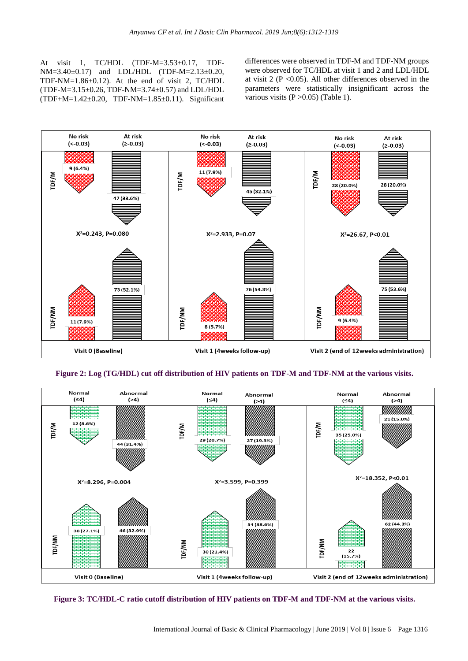At visit 1, TC/HDL (TDF-M=3.53±0.17, TDF-NM=3.40±0.17) and LDL/HDL (TDF-M=2.13±0.20, TDF-NM=1.86±0.12). At the end of visit 2, TC/HDL (TDF-M=3.15±0.26, TDF-NM=3.74±0.57) and LDL/HDL (TDF+M=1.42±0.20, TDF-NM=1.85±0.11). Significant differences were observed in TDF-M and TDF-NM groups were observed for TC/HDL at visit 1 and 2 and LDL/HDL at visit  $2 (P \le 0.05)$ . All other differences observed in the parameters were statistically insignificant across the various visits  $(P > 0.05)$  (Table 1).



**Figure 2: Log (TG/HDL) cut off distribution of HIV patients on TDF-M and TDF-NM at the various visits.**



**Figure 3: TC/HDL-C ratio cutoff distribution of HIV patients on TDF-M and TDF-NM at the various visits.**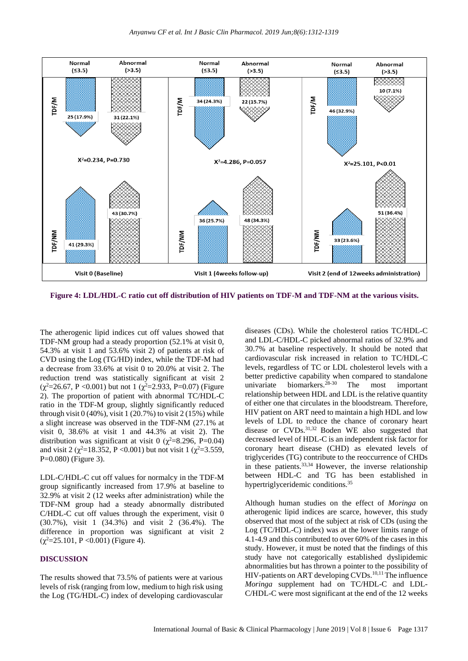

**Figure 4: LDL/HDL-C ratio cut off distribution of HIV patients on TDF-M and TDF-NM at the various visits.**

The atherogenic lipid indices cut off values showed that TDF-NM group had a steady proportion (52.1% at visit 0, 54.3% at visit 1 and 53.6% visit 2) of patients at risk of CVD using the Log (TG/HD) index, while the TDF-M had a decrease from 33.6% at visit 0 to 20.0% at visit 2. The reduction trend was statistically significant at visit 2  $(\chi^2=26.67, P<0.001)$  but not 1  $(\chi^2=2.933, P=0.07)$  (Figure 2). The proportion of patient with abnormal TC/HDL-C ratio in the TDF-M group, slightly significantly reduced through visit  $0(40\%)$ , visit 1 (20.7%) to visit 2 (15%) while a slight increase was observed in the TDF-NM (27.1% at visit 0, 38.6% at visit 1 and 44.3% at visit 2). The distribution was significant at visit 0 ( $\chi^2$ =8.296, P=0.04) and visit 2 ( $\chi^2$ =18.352, P <0.001) but not visit 1 ( $\chi^2$ =3.559, P=0.080) (Figure 3).

LDL-C/HDL-C cut off values for normalcy in the TDF-M group significantly increased from 17.9% at baseline to 32.9% at visit 2 (12 weeks after administration) while the TDF-NM group had a steady abnormally distributed C/HDL-C cut off values through the experiment, visit 0 (30.7%), visit 1 (34.3%) and visit 2 (36.4%). The difference in proportion was significant at visit 2  $(\chi^2 = 25.101, P < 0.001)$  (Figure 4).

#### **DISCUSSION**

The results showed that 73.5% of patients were at various levels of risk (ranging from low, medium to high risk using the Log (TG/HDL-C) index of developing cardiovascular diseases (CDs). While the cholesterol ratios TC/HDL-C and LDL-C/HDL-C picked abnormal ratios of 32.9% and 30.7% at baseline respectively. It should be noted that cardiovascular risk increased in relation to TC/HDL-C levels, regardless of TC or LDL cholesterol levels with a better predictive capability when compared to standalone univariate biomarkers.<sup>28-30</sup> The most important relationship between HDL and LDL is the relative quantity of either one that circulates in the bloodstream. Therefore, HIV patient on ART need to maintain a high HDL and low levels of LDL to reduce the chance of coronary heart disease or CVDs.<sup>31,32</sup> Boden WE also suggested that decreased level of HDL-C is an independent risk factor for coronary heart disease (CHD) as elevated levels of triglycerides (TG) contribute to the reoccurrence of CHDs in these patients.<sup>33,34</sup> However, the inverse relationship between HDL-C and TG has been established in hypertriglyceridemic conditions.<sup>35</sup>

Although human studies on the effect of *Moringa* on atherogenic lipid indices are scarce, however, this study observed that most of the subject at risk of CDs (using the Log (TC/HDL-C) index) was at the lower limits range of 4.1-4.9 and this contributed to over 60% of the cases in this study. However, it must be noted that the findings of this study have not categorically established dyslipidemic abnormalities but has thrown a pointer to the possibility of HIV-patients on ART developing CVDs.<sup>10,11</sup>The influence *Moringa* supplement had on TC/HDL-C and LDL-C/HDL-C were most significant at the end of the 12 weeks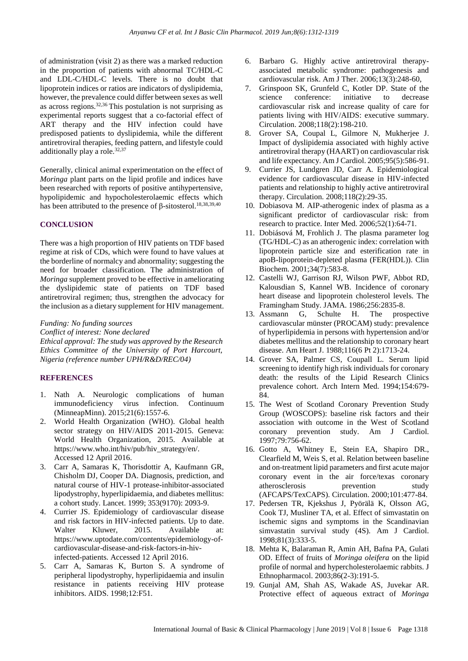of administration (visit 2) as there was a marked reduction in the proportion of patients with abnormal TC/HDL-C and LDL-C/HDL-C levels. There is no doubt that lipoprotein indices or ratios are indicators of dyslipidemia, however, the prevalence could differ between sexes as well as across regions.32,36 This postulation is not surprising as experimental reports suggest that a co-factorial effect of ART therapy and the HIV infection could have predisposed patients to dyslipidemia, while the different antiretroviral therapies, feeding pattern, and lifestyle could additionally play a role.<sup>32,37</sup>

Generally, clinical animal experimentation on the effect of *Moringa* plant parts on the lipid profile and indices have been researched with reports of positive antihypertensive, hypolipidemic and hypocholesterolaemic effects which has been attributed to the presence of β-sitosterol.<sup>18,38,39,40</sup>

#### **CONCLUSION**

There was a high proportion of HIV patients on TDF based regime at risk of CDs, which were found to have values at the borderline of normalcy and abnormality; suggesting the need for broader classification. The administration of *Moringa* supplement proved to be effective in ameliorating the dyslipidemic state of patients on TDF based antiretroviral regimen; thus, strengthen the advocacy for the inclusion as a dietary supplement for HIV management.

#### *Funding: No funding sources*

*Conflict of interest: None declared*

*Ethical approval: The study was approved by the Research Ethics Committee of the University of Port Harcourt, Nigeria (reference number UPH/R&D/REC/04)*

## **REFERENCES**

- 1. Nath A. Neurologic complications of human immunodeficiency virus infection. Continuum (MinneapMinn). 2015;21(6):1557-6.
- 2. World Health Organization (WHO). Global health sector strategy on HIV/AIDS 2011-2015. Geneva: World Health Organization, 2015. Available at https://www.who.int/hiv/pub/hiv\_strategy/en/. Accessed 12 April 2016.
- 3. Carr A, Samaras K, Thorisdottir A, Kaufmann GR, Chisholm DJ, Cooper DA. Diagnosis, prediction, and natural course of HIV-1 protease-inhibitor-associated lipodystrophy, hyperlipidaemia, and diabetes mellitus: a cohort study. Lancet. 1999; 353(9170): 2093-9.
- 4. Currier JS. Epidemiology of cardiovascular disease and risk factors in HIV-infected patients. Up to date. Walter Kluwer, 2015. Available at: https://www.uptodate.com/contents/epidemiology-ofcardiovascular-disease-and-risk-factors-in-hivinfected-patients. Accessed 12 April 2016.
- 5. Carr A, Samaras K, Burton S. A syndrome of peripheral lipodystrophy, hyperlipidaemia and insulin resistance in patients receiving HIV protease inhibitors. AIDS. 1998;12:F51.
- 6. Barbaro G. Highly active antiretroviral therapyassociated metabolic syndrome: pathogenesis and cardiovascular risk. Am J Ther. 2006;13(3):248-60,
- 7. Grinspoon SK, Grunfeld C, Kotler DP. State of the science conference: initiative to decrease cardiovascular risk and increase quality of care for patients living with HIV/AIDS: executive summary. Circulation. 2008;118(2):198-210.
- 8. Grover SA, Coupal L, Gilmore N, Mukherjee J. Impact of dyslipidemia associated with highly active antiretroviral therapy (HAART) on cardiovascular risk and life expectancy. Am J Cardiol. 2005;95(5):586-91.
- 9. Currier JS, Lundgren JD, Carr A. Epidemiological evidence for cardiovascular disease in HIV-infected patients and relationship to highly active antiretroviral therapy. Circulation. 2008;118(2):29-35.
- 10. Dobiasova M. AIP-atherogenic index of plasma as a significant predictor of cardiovascular risk: from research to practice. Inter Med. 2006;52(1):64-71.
- 11. Dobiásová M, Frohlich J. The plasma parameter log (TG/HDL-C) as an atherogenic index: correlation with lipoprotein particle size and esterification rate in apoB-lipoprotein-depleted plasma (FER(HDL)). Clin Biochem. 2001;34(7):583-8.
- 12. Castelli WJ, Garrison RJ, Wilson PWF, Abbot RD, Kalousdian S, Kannel WB. Incidence of coronary heart disease and lipoprotein cholesterol levels. The Framingham Study. JAMA. 1986;256:2835-8.
- 13. Assmann G, Schulte H. The prospective cardiovascular münster (PROCAM) study: prevalence of hyperlipidemia in persons with hypertension and/or diabetes mellitus and the relationship to coronary heart disease. Am Heart J. 1988;116(6 Pt 2):1713-24.
- 14. Grover SA, Palmer CS, Coupall L. Serum lipid screening to identify high risk individuals for coronary death: the results of the Lipid Research Clinics prevalence cohort. Arch Intern Med. 1994;154:679- 84.
- 15. The West of Scotland Coronary Prevention Study Group (WOSCOPS): baseline risk factors and their association with outcome in the West of Scotland coronary prevention study. Am J Cardiol. 1997;79:756-62.
- 16. Gotto A, Whitney E, Stein EA, Shapiro DR., Clearfield M, Weis S, et al. Relation between baseline and on-treatment lipid parameters and first acute major coronary event in the air force/texas coronary atherosclerosis prevention study (AFCAPS/TexCAPS). Circulation. 2000;101:477-84.
- 17. Pedersen TR, Kjekshus J, Pyörälä K, Olsson AG, Cook TJ, Musliner TA, et al. Effect of simvastatin on ischemic signs and symptoms in the Scandinavian simvastatin survival study (4S). Am J Cardiol. 1998;81(3):333-5.
- 18. Mehta K, Balaraman R, Amin AH, Bafna PA, Gulati OD. Effect of fruits of *Moringa oleifera* on the lipid profile of normal and hypercholesterolaemic rabbits. J Ethnopharmacol. 2003;86(2-3):191-5.
- 19. Gunjal AM, Shah AS, Wakade AS, Juvekar AR. Protective effect of aqueous extract of *Moringa*